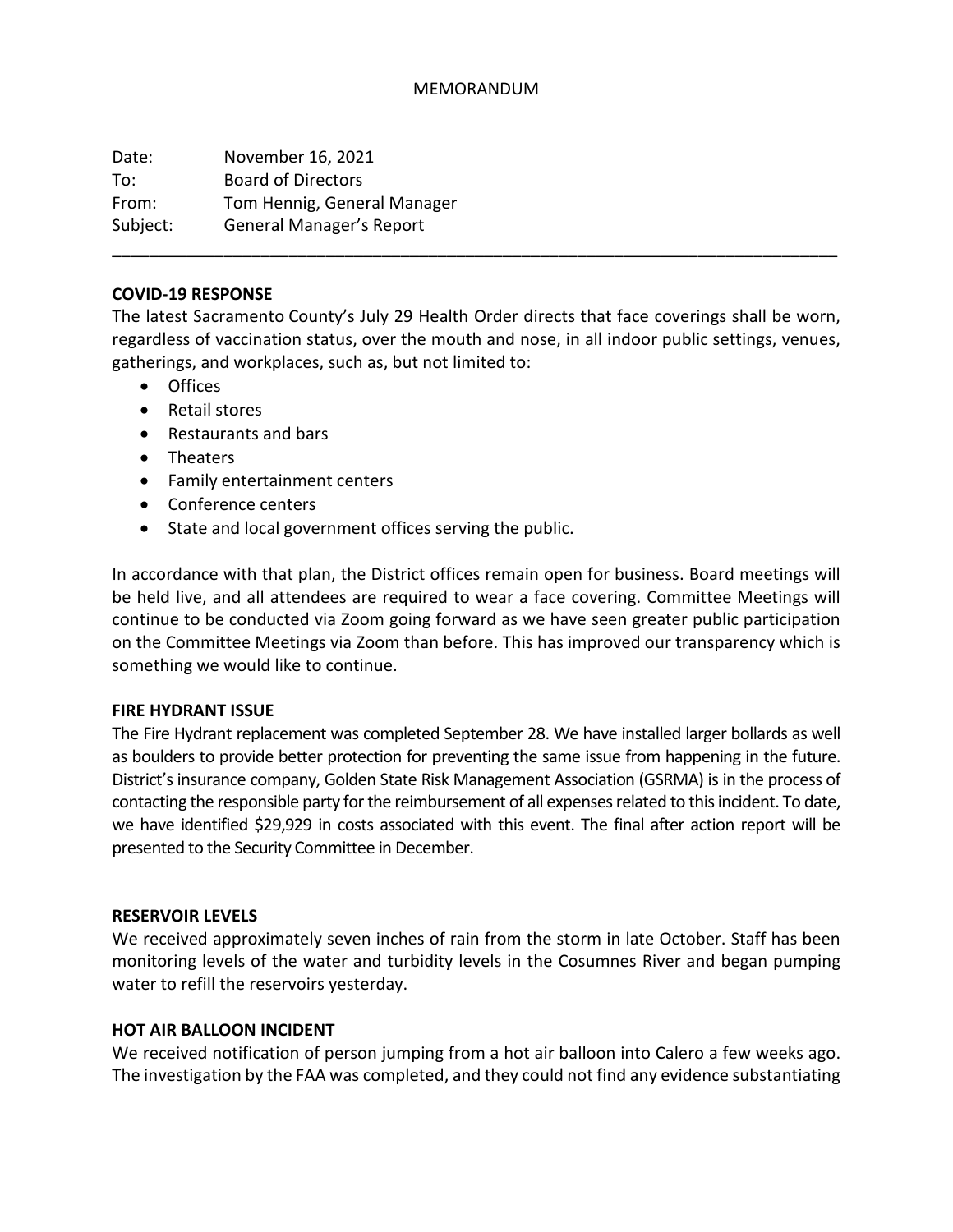#### MEMORANDUM

Date: November 16, 2021 To: Board of Directors From: Tom Hennig, General Manager Subject: General Manager's Report

#### **COVID-19 RESPONSE**

The latest Sacramento County's July 29 Health Order directs that face coverings shall be worn, regardless of vaccination status, over the mouth and nose, in all indoor public settings, venues, gatherings, and workplaces, such as, but not limited to:

\_\_\_\_\_\_\_\_\_\_\_\_\_\_\_\_\_\_\_\_\_\_\_\_\_\_\_\_\_\_\_\_\_\_\_\_\_\_\_\_\_\_\_\_\_\_\_\_\_\_\_\_\_\_\_\_\_\_\_\_\_\_\_\_\_\_\_\_\_\_\_\_\_\_\_\_\_\_

- Offices
- Retail stores
- Restaurants and bars
- Theaters
- Family entertainment centers
- Conference centers
- State and local government offices serving the public.

In accordance with that plan, the District offices remain open for business. Board meetings will be held live, and all attendees are required to wear a face covering. Committee Meetings will continue to be conducted via Zoom going forward as we have seen greater public participation on the Committee Meetings via Zoom than before. This has improved our transparency which is something we would like to continue.

#### **FIRE HYDRANT ISSUE**

The Fire Hydrant replacement was completed September 28. We have installed larger bollards as well as boulders to provide better protection for preventing the same issue from happening in the future. District's insurance company, Golden State Risk Management Association (GSRMA) is in the process of contacting the responsible party for the reimbursement of all expenses related to this incident. To date, we have identified \$29,929 in costs associated with this event. The final after action report will be presented to the Security Committee in December.

#### **RESERVOIR LEVELS**

We received approximately seven inches of rain from the storm in late October. Staff has been monitoring levels of the water and turbidity levels in the Cosumnes River and began pumping water to refill the reservoirs yesterday.

#### **HOT AIR BALLOON INCIDENT**

We received notification of person jumping from a hot air balloon into Calero a few weeks ago. The investigation by the FAA was completed, and they could not find any evidence substantiating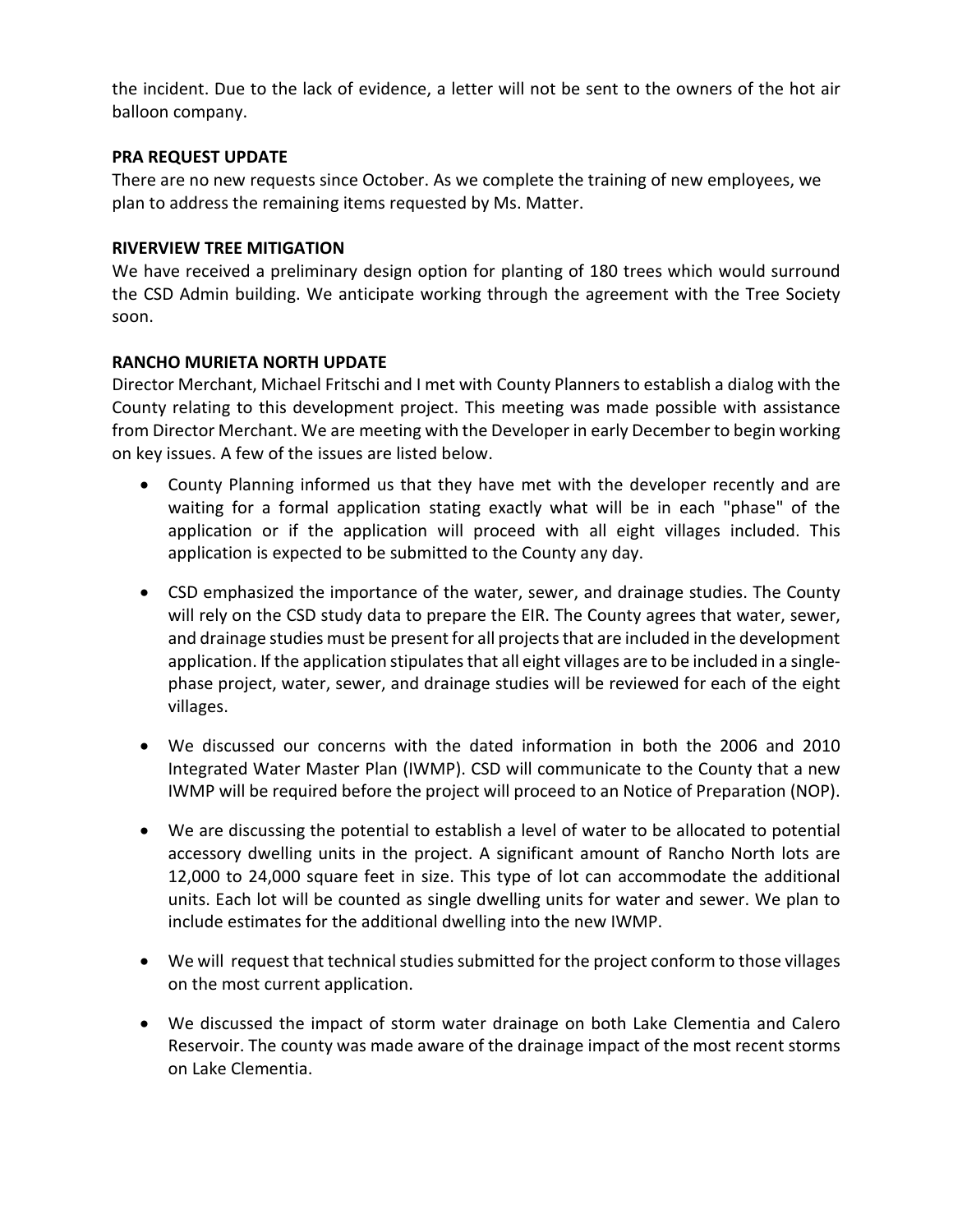the incident. Due to the lack of evidence, a letter will not be sent to the owners of the hot air balloon company.

## **PRA REQUEST UPDATE**

There are no new requests since October. As we complete the training of new employees, we plan to address the remaining items requested by Ms. Matter.

## **RIVERVIEW TREE MITIGATION**

We have received a preliminary design option for planting of 180 trees which would surround the CSD Admin building. We anticipate working through the agreement with the Tree Society soon.

## **RANCHO MURIETA NORTH UPDATE**

Director Merchant, Michael Fritschi and I met with County Planners to establish a dialog with the County relating to this development project. This meeting was made possible with assistance from Director Merchant. We are meeting with the Developer in early December to begin working on key issues. A few of the issues are listed below.

- County Planning informed us that they have met with the developer recently and are waiting for a formal application stating exactly what will be in each "phase" of the application or if the application will proceed with all eight villages included. This application is expected to be submitted to the County any day.
- CSD emphasized the importance of the water, sewer, and drainage studies. The County will rely on the CSD study data to prepare the EIR. The County agrees that water, sewer, and drainage studies must be present for all projects that are included in the development application. If the application stipulates that all eight villages are to be included in a singlephase project, water, sewer, and drainage studies will be reviewed for each of the eight villages.
- We discussed our concerns with the dated information in both the 2006 and 2010 Integrated Water Master Plan (IWMP). CSD will communicate to the County that a new IWMP will be required before the project will proceed to an Notice of Preparation (NOP).
- We are discussing the potential to establish a level of water to be allocated to potential accessory dwelling units in the project. A significant amount of Rancho North lots are 12,000 to 24,000 square feet in size. This type of lot can accommodate the additional units. Each lot will be counted as single dwelling units for water and sewer. We plan to include estimates for the additional dwelling into the new IWMP.
- We will request that technical studies submitted for the project conform to those villages on the most current application.
- We discussed the impact of storm water drainage on both Lake Clementia and Calero Reservoir. The county was made aware of the drainage impact of the most recent storms on Lake Clementia.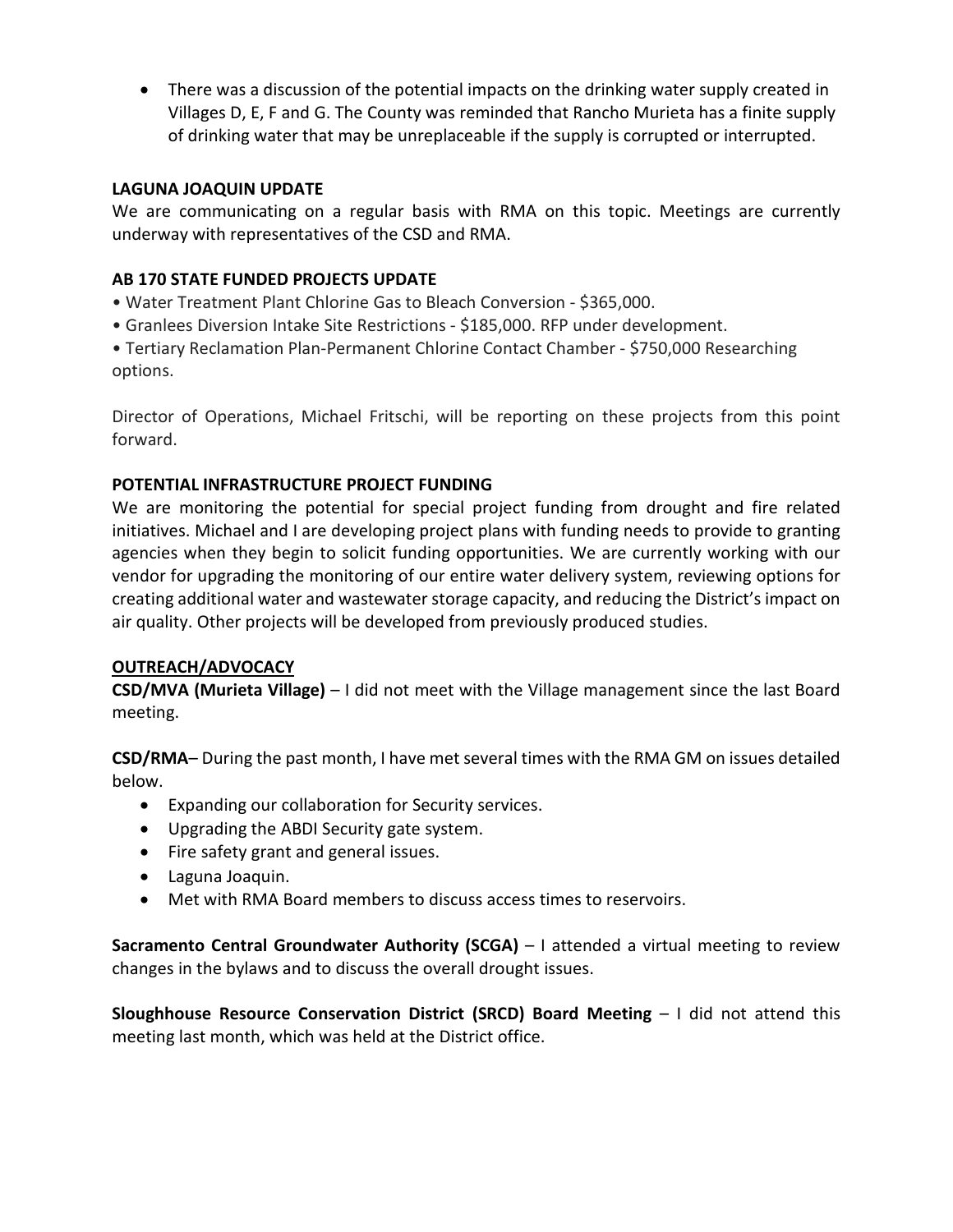• There was a discussion of the potential impacts on the drinking water supply created in Villages D, E, F and G. The County was reminded that Rancho Murieta has a finite supply of drinking water that may be unreplaceable if the supply is corrupted or interrupted.

## **LAGUNA JOAQUIN UPDATE**

We are communicating on a regular basis with RMA on this topic. Meetings are currently underway with representatives of the CSD and RMA.

## **AB 170 STATE FUNDED PROJECTS UPDATE**

- Water Treatment Plant Chlorine Gas to Bleach Conversion \$365,000.
- Granlees Diversion Intake Site Restrictions \$185,000. RFP under development.

• Tertiary Reclamation Plan-Permanent Chlorine Contact Chamber - \$750,000 Researching options.

Director of Operations, Michael Fritschi, will be reporting on these projects from this point forward.

## **POTENTIAL INFRASTRUCTURE PROJECT FUNDING**

We are monitoring the potential for special project funding from drought and fire related initiatives. Michael and I are developing project plans with funding needs to provide to granting agencies when they begin to solicit funding opportunities. We are currently working with our vendor for upgrading the monitoring of our entire water delivery system, reviewing options for creating additional water and wastewater storage capacity, and reducing the District's impact on air quality. Other projects will be developed from previously produced studies.

# **OUTREACH/ADVOCACY**

**CSD/MVA (Murieta Village)** – I did not meet with the Village management since the last Board meeting.

**CSD/RMA**– During the past month, I have met several times with the RMA GM on issues detailed below.

- Expanding our collaboration for Security services.
- Upgrading the ABDI Security gate system.
- Fire safety grant and general issues.
- Laguna Joaquin.
- Met with RMA Board members to discuss access times to reservoirs.

**Sacramento Central Groundwater Authority (SCGA)** – I attended a virtual meeting to review changes in the bylaws and to discuss the overall drought issues.

**Sloughhouse Resource Conservation District (SRCD) Board Meeting** – I did not attend this meeting last month, which was held at the District office.